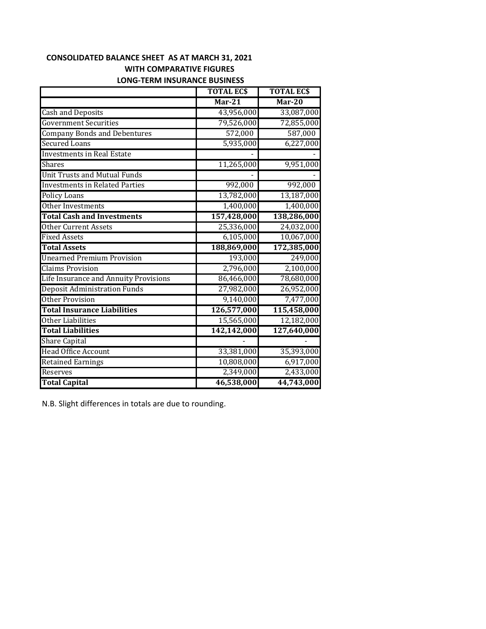## **CONSOLIDATED BALANCE SHEET AS AT MARCH 31, 2021 WITH COMPARATIVE FIGURES**

| <b>LONG-TERM INSURANCE BUSINESS</b> |  |  |
|-------------------------------------|--|--|
|-------------------------------------|--|--|

|                                       | <b>TOTAL ECS</b> | <b>TOTAL ECS</b> |
|---------------------------------------|------------------|------------------|
|                                       | $Mar-21$         | $Mar-20$         |
| <b>Cash and Deposits</b>              | 43,956,000       | 33,087,000       |
| <b>Government Securities</b>          | 79,526,000       | 72,855,000       |
| <b>Company Bonds and Debentures</b>   | 572,000          | 587,000          |
| <b>Secured Loans</b>                  | 5,935,000        | 6,227,000        |
| <b>Investments in Real Estate</b>     |                  |                  |
| Shares                                | 11,265,000       | 9,951,000        |
| <b>Unit Trusts and Mutual Funds</b>   |                  |                  |
| <b>Investments in Related Parties</b> | 992,000          | 992,000          |
| <b>Policy Loans</b>                   | 13,782,000       | 13,187,000       |
| Other Investments                     | 1,400,000        | 1,400,000        |
| <b>Total Cash and Investments</b>     | 157,428,000      | 138,286,000      |
| <b>Other Current Assets</b>           | 25,336,000       | 24,032,000       |
| <b>Fixed Assets</b>                   | 6,105,000        | 10,067,000       |
| <b>Total Assets</b>                   | 188,869,000      | 172,385,000      |
| <b>Unearned Premium Provision</b>     | 193,000          | 249,000          |
| <b>Claims Provision</b>               | 2,796,000        | 2,100,000        |
| Life Insurance and Annuity Provisions | 86,466,000       | 78,680,000       |
| <b>Deposit Administration Funds</b>   | 27,982,000       | 26,952,000       |
| Other Provision                       | 9,140,000        | 7,477,000        |
| <b>Total Insurance Liabilities</b>    | 126,577,000      | 115,458,000      |
| Other Liabilities                     | 15,565,000       | 12,182,000       |
| <b>Total Liabilities</b>              | 142,142,000      | 127,640,000      |
| <b>Share Capital</b>                  |                  |                  |
| <b>Head Office Account</b>            | 33,381,000       | 35,393,000       |
| <b>Retained Earnings</b>              | 10,808,000       | 6,917,000        |
| Reserves                              | 2,349,000        | 2,433,000        |
| <b>Total Capital</b>                  | 46,538,000       | 44,743,000       |

N.B. Slight differences in totals are due to rounding.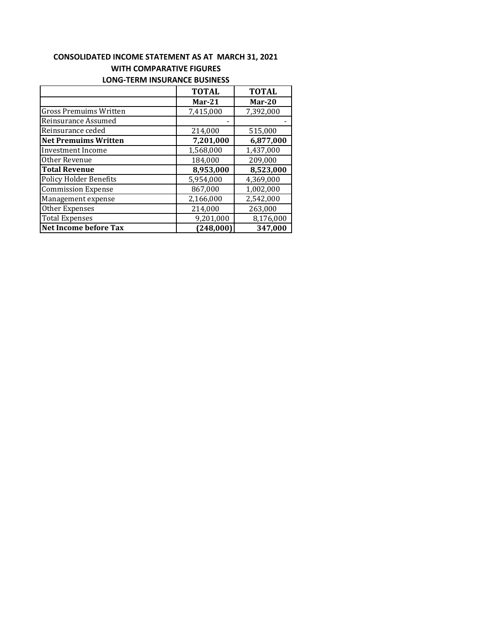# **CONSOLIDATED INCOME STATEMENT AS AT MARCH 31, 2021 WITH COMPARATIVE FIGURES**

|                               | <b>TOTAL</b> | <b>TOTAL</b> |
|-------------------------------|--------------|--------------|
|                               | $Mar-21$     | $Mar-20$     |
| <b>Gross Premuims Written</b> | 7,415,000    | 7,392,000    |
| Reinsurance Assumed           |              |              |
| Reinsurance ceded             | 214,000      | 515,000      |
| <b>Net Premuims Written</b>   | 7,201,000    | 6,877,000    |
| Investment Income             | 1,568,000    | 1,437,000    |
| Other Revenue                 | 184,000      | 209,000      |
| <b>Total Revenue</b>          | 8,953,000    | 8,523,000    |
| <b>Policy Holder Benefits</b> | 5,954,000    | 4,369,000    |
| <b>Commission Expense</b>     | 867,000      | 1,002,000    |
| Management expense            | 2,166,000    | 2,542,000    |
| Other Expenses                | 214,000      | 263,000      |
| <b>Total Expenses</b>         | 9,201,000    | 8,176,000    |
| <b>Net Income before Tax</b>  | (248,000)    | 347.000      |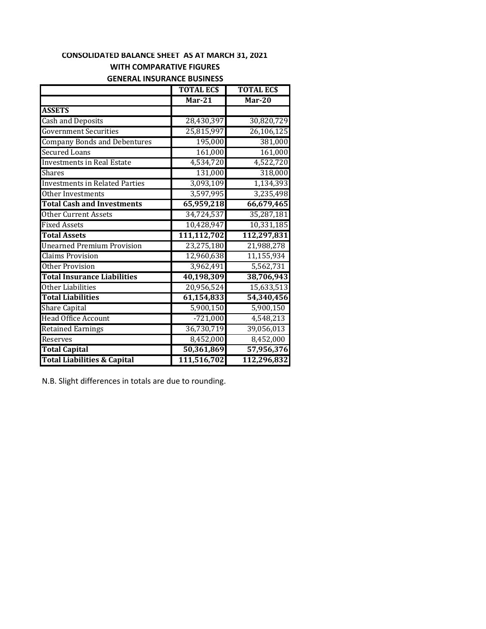### **CONSOLIDATED BALANCE SHEET AS AT MARCH 31, 2021 WITH COMPARATIVE FIGURES**

### **GENERAL INSURANCE BUSINESS**

|                                        | <b>TOTAL ECS</b> | <b>TOTAL ECS</b>        |
|----------------------------------------|------------------|-------------------------|
|                                        | $Mar-21$         | $Mar-20$                |
| <b>ASSETS</b>                          |                  |                         |
| Cash and Deposits                      | 28,430,397       | 30,820,729              |
| <b>Government Securities</b>           | 25,815,997       | 26,106,125              |
| <b>Company Bonds and Debentures</b>    | 195,000          | 381,000                 |
| <b>Secured Loans</b>                   | 161,000          | 161,000                 |
| <b>Investments in Real Estate</b>      | 4,534,720        | 4,522,720               |
| <b>Shares</b>                          | 131,000          | 318,000                 |
| <b>Investments in Related Parties</b>  | 3,093,109        | 1,134,393               |
| Other Investments                      | 3,597,995        | 3,235,498               |
| <b>Total Cash and Investments</b>      | 65,959,218       | 66,679,465              |
| <b>Other Current Assets</b>            | 34,724,537       | 35,287,181              |
| <b>Fixed Assets</b>                    | 10,428,947       | 10,331,185              |
| <b>Total Assets</b>                    | 111,112,702      | 112,297,831             |
| <b>Unearned Premium Provision</b>      | 23,275,180       | 21,988,278              |
| <b>Claims Provision</b>                | 12,960,638       | $\overline{11,}155,934$ |
| <b>Other Provision</b>                 | 3,962,491        | 5,562,731               |
| <b>Total Insurance Liabilities</b>     | 40,198,309       | 38,706,943              |
| Other Liabilities                      | 20,956,524       | 15,633,513              |
| <b>Total Liabilities</b>               | 61,154,833       | 54,340,456              |
| <b>Share Capital</b>                   | 5,900,150        | 5,900,150               |
| <b>Head Office Account</b>             | $-721,000$       | 4,548,213               |
| <b>Retained Earnings</b>               | 36,730,719       | 39,056,013              |
| Reserves                               | 8,452,000        | 8,452,000               |
| <b>Total Capital</b>                   | 50,361,869       | 57,956,376              |
| <b>Total Liabilities &amp; Capital</b> | 111,516,702      | 112,296,832             |

N.B. Slight differences in totals are due to rounding.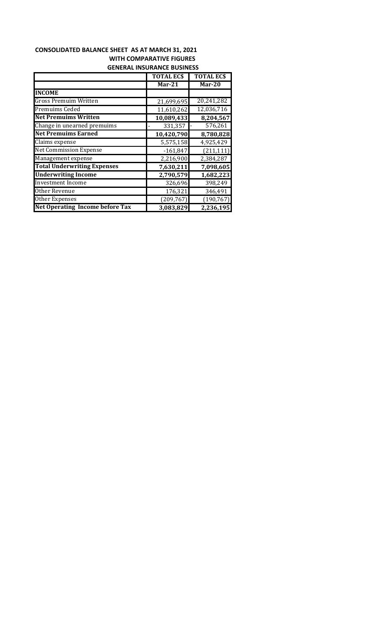## **CONSOLIDATED BALANCE SHEET AS AT MARCH 31, 2021 WITH COMPARATIVE FIGURES GENERAL INSURANCE BUSINESS**

|                                        | <b>TOTAL ECS</b> | <b>TOTAL ECS</b> |
|----------------------------------------|------------------|------------------|
|                                        | $Mar-21$         | Mar-20           |
| <b>INCOME</b>                          |                  |                  |
| Gross Premuim Written                  | 21,699,695       | 20,241,282       |
| Premuims Ceded                         | 11,610,262       | 12,036,716       |
| <b>Net Premuims Written</b>            | 10,089,433       | 8,204,567        |
| Change in unearned premuims            | 331,357          | 576,261          |
| <b>Net Premuims Earned</b>             | 10,420,790       | 8,780,828        |
| Claims expense                         | 5,575,158        | 4,925,429        |
| <b>Net Commission Expense</b>          | $-161,847$       | (211, 111)       |
| Management expense                     | 2,216,900        | 2,384,287        |
| <b>Total Underwriting Expenses</b>     | 7,630,211        | 7,098,605        |
| <b>Underwriting Income</b>             | 2,790,579        | 1,682,223        |
| <b>Investment Income</b>               | 326,696          | 398,249          |
| Other Revenue                          | 176,321          | 346,491          |
| Other Expenses                         | (209, 767)       | (190, 767)       |
| <b>Net Operating Income before Tax</b> | 3,083,829        | 2,236,195        |